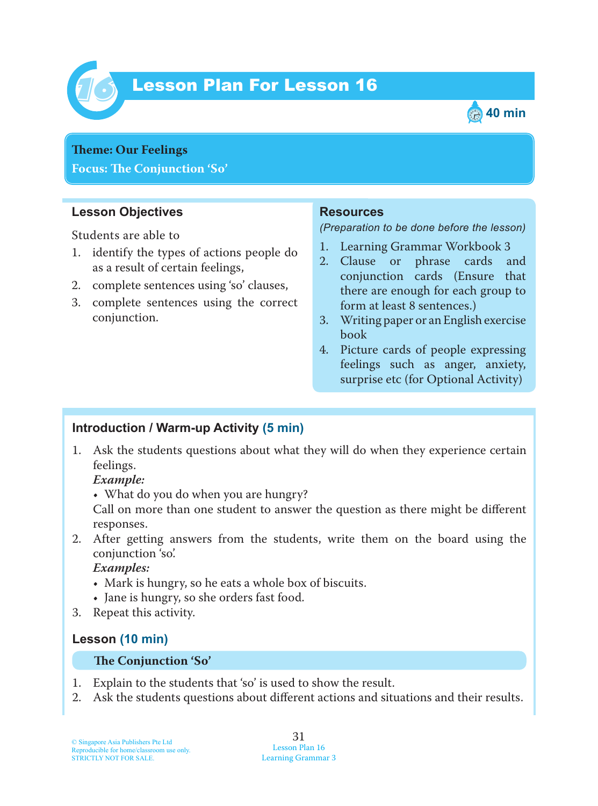

# Lesson Plan For Lesson 16 *16*



**Theme: Our Feelings Focus: Te Conjunction 'So'**

### **Lesson Objectives**

Students are able to

- 1. identify the types of actions people do as a result of certain feelings,
- 2. complete sentences using 'so' clauses,
- 3. complete sentences using the correct conjunction.

#### **Resources**

*(Preparation to be done before the lesson)*

- 1. Learning Grammar Workbook 3
- 2. Clause or phrase cards and conjunction cards (Ensure that there are enough for each group to form at least 8 sentences.)
- 3. Writing paper or an English exercise book
- 4. Picture cards of people expressing feelings such as anger, anxiety, surprise etc (for Optional Activity)

## **Introduction / Warm-up Activity (5 min)**

1. Ask the students questions about what they will do when they experience certain feelings.

 *Example:*

• What do you do when you are hungry?

Call on more than one student to answer the question as there might be different responses.

2. After getting answers from the students, write them on the board using the conjunction 'so'.

 *Examples:*

- Mark is hungry, so he eats a whole box of biscuits.
- Jane is hungry, so she orders fast food.
- 3. Repeat this activity.

### **Lesson (10 min)**

#### **Te Conjunction 'So'**

- 1. Explain to the students that 'so' is used to show the result.
- 2. Ask the students questions about different actions and situations and their results.